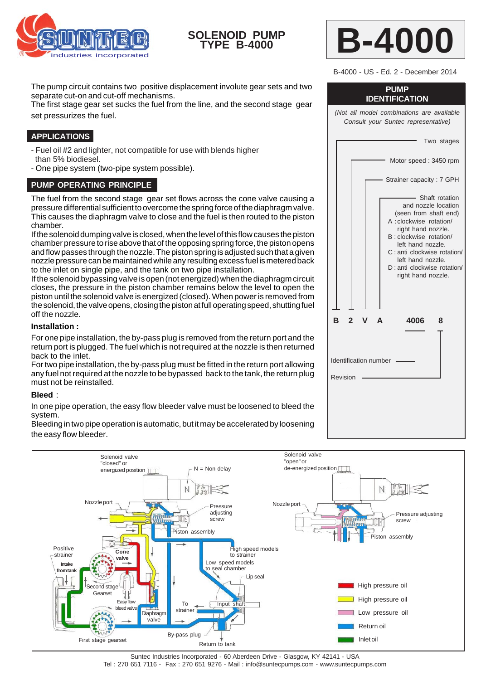

# **SOLENOID PUMP TYPE B-4000**



B-4000 - US - Ed. 2 - December 2014

The pump circuit contains two positive displacement involute gear sets and two separate cut-on and cut-off mechanisms.

The first stage gear set sucks the fuel from the line, and the second stage gear set pressurizes the fuel.

## **APPLICATIONS**

- Fuel oil #2 and lighter, not compatible for use with blends higher than 5% biodiesel.
- One pipe system (two-pipe system possible).

### **PUMP OPERATING PRINCIPLE**

The fuel from the second stage gear set flows across the cone valve causing a pressure differential sufficient to overcome the spring force of the diaphragm valve. This causes the diaphragm valve to close and the fuel is then routed to the piston chamber.

If the solenoid dumping valve is closed, when the level of this flow causes the piston chamber pressure to rise above that of the opposing spring force, the piston opens and flow passes through the nozzle. The piston spring is adjusted such that a given nozzle pressure can be maintained while any resulting excess fuel is metered back to the inlet on single pipe, and the tank on two pipe installation.

If the solenoid bypassing valve is open (not energized) when the diaphragm circuit closes, the pressure in the piston chamber remains below the level to open the piston until the solenoid valve is energized (closed). When power is removed from the solenoid, the valve opens, closing the piston at full operating speed, shutting fuel off the nozzle.

#### **Installation :**

For one pipe installation, the by-pass plug is removed from the return port and the return port is plugged. The fuel which is not required at the nozzle is then returned back to the inlet.

For two pipe installation, the by-pass plug must be fitted in the return port allowing any fuel not required at the nozzle to be bypassed back to the tank, the return plug must not be reinstalled.

### **Bleed** :

In one pipe operation, the easy flow bleeder valve must be loosened to bleed the system.

Bleeding in two pipe operation is automatic, but it may be accelerated by loosening the easy flow bleeder.



**PUMP IDENTIFICATION**

*(Not all model combinations are available Consult your Suntec representative)*

Two stages

Motor speed : 3450 rpm

Strainer capacity : 7 GPH Shaft rotation and nozzle location (seen from shaft end) A :clockwise rotation/ right hand nozzle. B : clockwise rotation/ left hand nozzle. C : anti clockwise rotation/ left hand nozzle. D : anti clockwise rotation/ right hand nozzle.  **B 2 V A 4006 8** Identification number

Revision